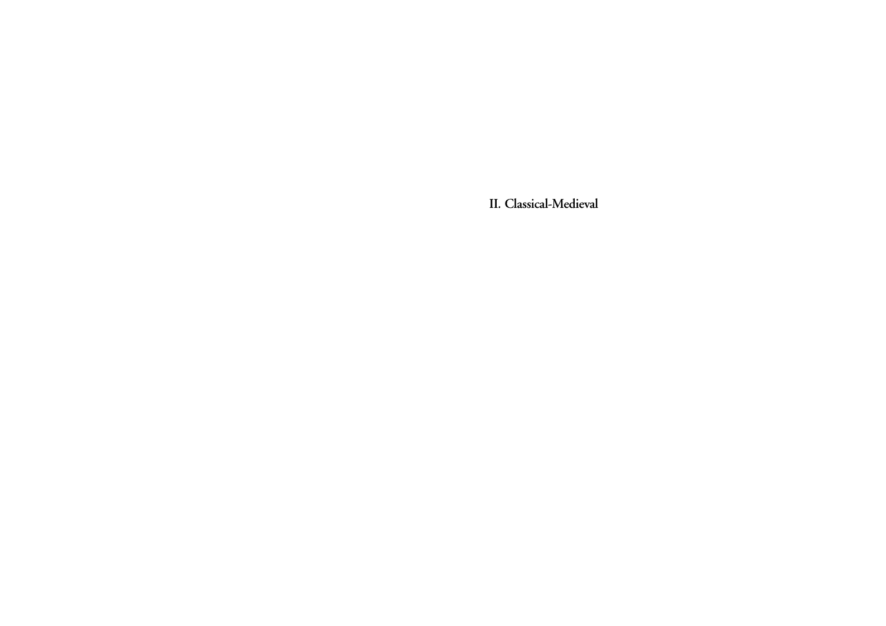**II***.* **Classical-Medieval**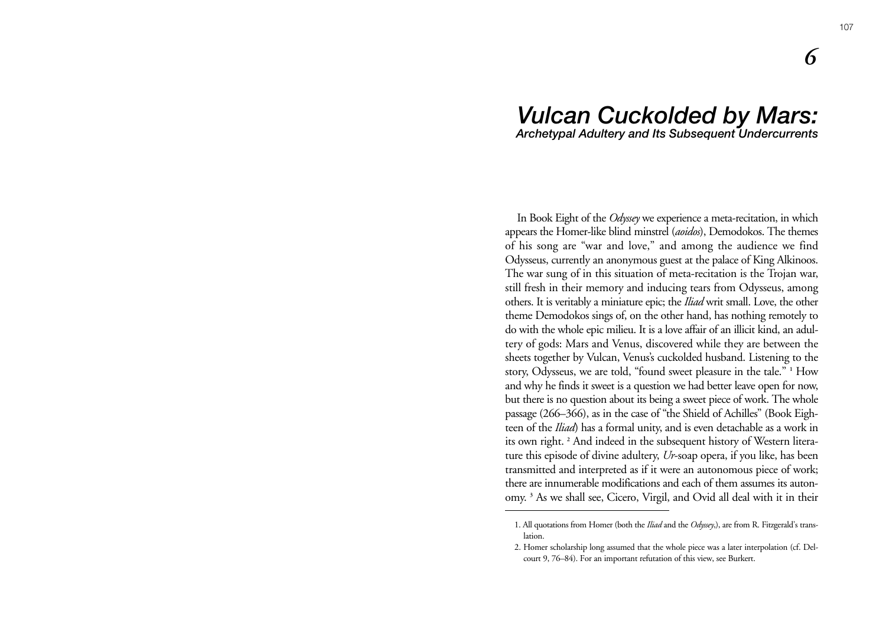# *Vulcan Cuckolded by Mars: Archetypal Adultery and Its Subsequent Undercurrents*

In Book Eight of the *Odyssey* we experience a meta-recitation, in which appears the Homer-like blind minstrel (*aoidos*), Demodokos. The themes of his song are "war and love," and among the audience we find Odysseus, currently an anonymous guest at the palace of King Alkinoos. The war sung of in this situation of meta-recitation is the Trojan war, still fresh in their memory and inducing tears from Odysseus, among others. It is veritably a miniature epic; the *Iliad* writ small. Love, the other theme Demodokos sings of, on the other hand, has nothing remotely to do with the whole epic milieu. It is a love affair of an illicit kind, an adultery of gods: Mars and Venus, discovered while they are between the sheets together by Vulcan, Venus's cuckolded husband. Listening to the story, Odysseus, we are told, "found sweet pleasure in the tale." **<sup>1</sup>** How and why he finds it sweet is a question we had better leave open for now, but there is no question about its being a sweet piece of work. The whole passage (266–366), as in the case of "the Shield of Achilles" (Book Eighteen of the *Iliad*) has a formal unity, and is even detachable as a work in its own right. **<sup>2</sup>** And indeed in the subsequent history of Western literature this episode of divine adultery, *Ur*-soap opera, if you like, has been transmitted and interpreted as if it were an autonomous piece of work; there are innumerable modifications and each of them assumes its autonomy. **<sup>3</sup>** As we shall see, Cicero, Virgil, and Ovid all deal with it in their

*6*

<sup>1.</sup> All quotations from Homer (both the *Iliad* and the *Odyssey*,), are from R. Fitzgerald's translation.

<sup>2.</sup> Homer scholarship long assumed that the whole piece was a later interpolation (cf. Delcourt 9, 76–84). For an important refutation of this view, see Burkert.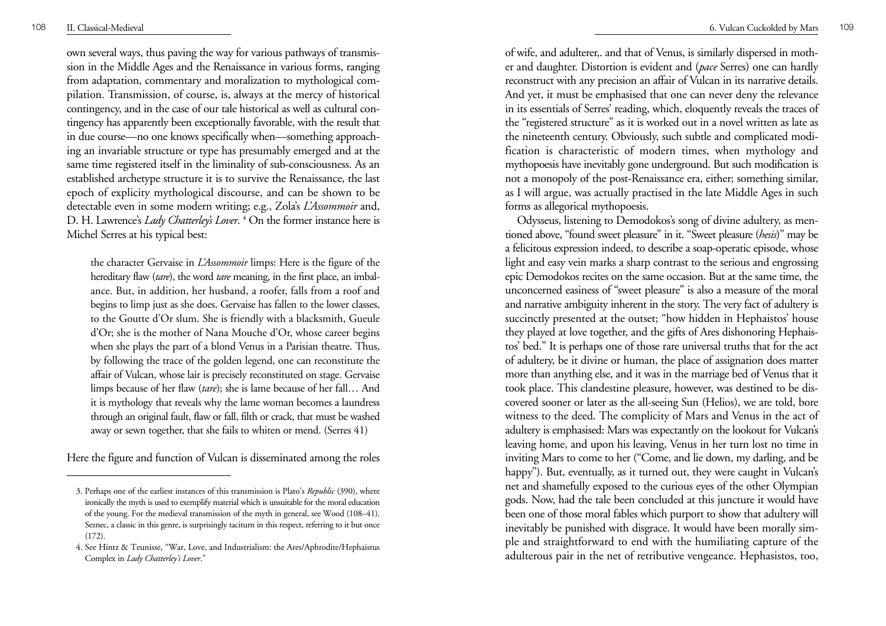own several ways, thus paving the way for various pathways of transmission in the Middle Ages and the Renaissance in various forms, ranging from adaptation, commentary and moralization to mythological compilation. Transmission, of course, is, always at the mercy of historical contingency, and in the case of our tale historical as well as cultural contingency has apparently been exceptionally favorable, with the result that in due course—no one knows specifically when—something approaching an invariable structure or type has presumably emerged and at the same time registered itself in the liminality of sub-consciousness. As an established archetype structure it is to survive the Renaissance, the last epoch of explicity mythological discourse, and can be shown to be detectable even in some modern writing; e.g., Zola's *L'Assommoir* and, D. H. Lawrence's *Lady Chatterley's Lover*. **<sup>4</sup>** On the former instance here is Michel Serres at his typical best:

the character Gervaise in *L'Assommoir* limps: Here is the figure of the hereditary flaw (*tare*), the word *tare* meaning, in the first place, an imbalance. But, in addition, her husband, a roofer, falls from a roof and begins to limp just as she does. Gervaise has fallen to the lower classes, to the Goutte d'Or slum. She is friendly with a blacksmith, Gueule d' Or; she is the mother of Nana Mouche d'Or, whose career begins when she plays the part of a blond Venus in a Parisian theatre. Thus, by following the trace of the golden legend, one can reconstitute the affair of Vulcan, whose lair is precisely reconstituted on stage. Gervaise limps because of her flaw (*tare*); she is lame because of her fall… And it is mythology that reveals why the lame woman becomes a laundress through an original fault, flaw or fall, filth or crack, that must be washed away or sewn together, that she fails to whiten or mend. (Serres 41)

Here the figure and function of Vulcan is disseminated among the roles

of wife, and adulterer,. and that of Venus, is similarly dispersed in mother and daughter. Distortion is evident and (*pace* Serres) one can hardly reconstruct with any precision an affair of Vulcan in its narrative details. And yet, it must be emphasised that one can never deny the relevance in its essentials of Serres' reading, which, eloquently reveals the traces of the "registered structure" as it is worked out in a novel written as late as the nineteenth century. Obviously, such subtle and complicated modification is characteristic of modern times, when mythology and mythopoesis have inevitably gone underground. But such modification is not a monopoly of the post-Renaissance era, either; something similar, as I will argue, was actually practised in the late Middle Ages in such forms as allegorical mythopoesis.

Odysseus, listening to Demodokos's song of divine adultery, as mentioned above, "found sweet pleasure" in it. "Sweet pleasure (*hesis*)" may be a felicitous expression indeed, to describe a soap-operatic episode, whose light and easy vein marks a sharp contrast to the serious and engrossing epic Demodokos recites on the same occasion. But at the same time, the unconcerned easiness of "sweet pleasure" is also a measure of the moral and narrative ambiguity inherent in the story. The very fact of adultery is succinctly presented at the outset; "how hidden in Hephaistos' house they played at love together, and the gifts of Ares dishonoring Hephaistos' bed." It is perhaps one of those rare universal truths that for the act of adultery, be it divine or human, the place of assignation does matter more than anything else, and it was in the marriage bed of Venus that it took place. This clandestine pleasure, however, was destined to be discovered sooner or later as the all-seeing Sun (Helios), we are told, bore witness to the deed. The complicity of Mars and Venus in the act of adultery is emphasised: Mars was expectantly on the lookout for Vulcan's leaving home, and upon his leaving, Venus in her turn lost no time in inviting Mars to come to her ("Come, and lie down, my darling, and be happy"). But, eventually, as it turned out, they were caught in Vulcan's net and shamefully exposed to the curious eyes of the other Olympian gods. Now, had the tale been concluded at this juncture it would have been one of those moral fables which purport to show that adultery will inevitably be punished with disgrace. It would have been morally sim<sup>p</sup>le and straightforward to end with the humiliating capture of the adulterous pair in the net of retributive vengeance. Hephasistos, too,

<sup>3.</sup> Perhaps one of the earliest instances of this transmission is Plato's *Republic* (390), where ironically the myth is used to exemplify material which is unsuitable for the moral education of the young. For the medieval transmission of the myth in general, see Wood (108–41). Seznec, a classic in this genre, is surprisingly taciturn in this respect, referring to it but once (172).

<sup>4.</sup> See Hintz & Teunisse, "War, Love, and Industrialism: the Ares/Aphrodite/Hephaistus Complex in *Lady Chatterley's Lover*."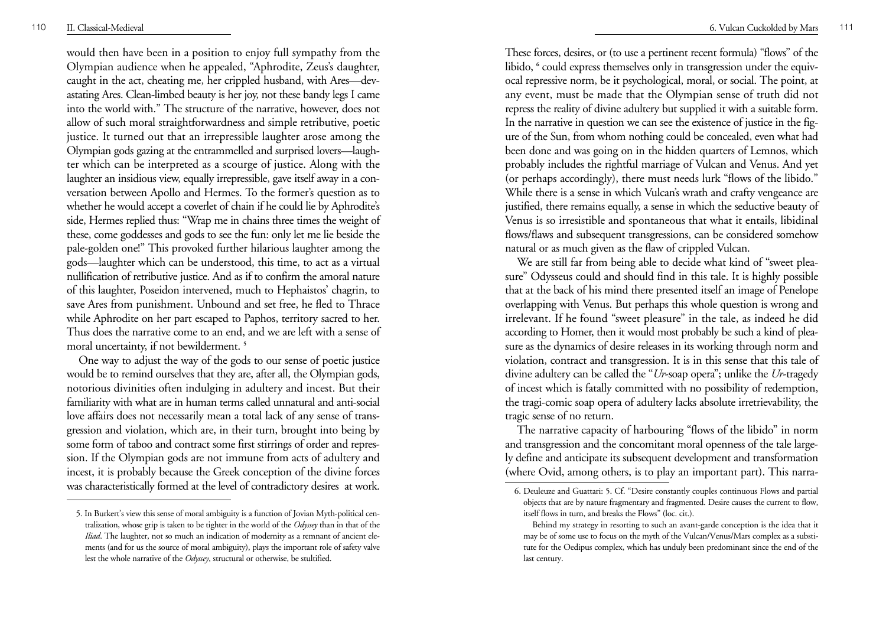would then have been in a position to enjoy full sympathy from the Olympian audience when he appealed, "Aphrodite, Zeus's daughter, caught in the act, cheating me, her crippled husband, with Ares—devastating Ares. Clean-limbed beauty is her joy, not these bandy legs I came into the world with." The structure of the narrative, however, does not allow of such moral straightforwardness and simple retributive, poetic justice. It turned out that an irrepressible laughter arose among the Olympian gods gazing at the entrammelled and surprised lovers—laughter which can be interpreted as a scourge of justice. Along with the laughter an insidious view, equally irrepressible, gave itself away in a conversation between Apollo and Hermes. To the former's question as to whether he would accept a coverlet of chain if he could lie by Aphrodite's side, Hermes replied thus: "Wrap me in chains three times the weight of these, come goddesses and gods to see the fun: only let me lie beside the pale-golden one!" This provoked further hilarious laughter among the gods—laughter which can be understood, this time, to act as a virtual nullification of retributive justice. And as if to confirm the amoral nature of this laughter, Poseidon intervened, much to Hephaistos' chagrin, to save Ares from punishment. Unbound and set free, he fled to Thrace while Aphrodite on her part escaped to Paphos, territory sacred to her. Thus does the narrative come to an end, and we are left with a sense of moral uncertainty, if not bewilderment. **<sup>5</sup>**

One way to adjust the way of the gods to our sense of poetic justice would be to remind ourselves that they are, after all, the Olympian gods, notorious divinities often indulging in adultery and incest. But their familiarity with what are in human terms called unnatural and anti-social love affairs does not necessarily mean a total lack of any sense of transgression and violation, which are, in their turn, brought into being by some form of taboo and contract some first stirrings of order and repression. If the Olympian gods are not immune from acts of adultery and incest, it is probably because the Greek conception of the divine forces was characteristically formed at the level of contradictory desires at work.

These forces, desires, or (to use a pertinent recent formula) "flows" of the libido,  $\epsilon$  could express themselves only in transgression under the equivocal repressive norm, be it psychological, moral, or social. The point, at any event, must be made that the Olympian sense of truth did not repress the reality of divine adultery but supplied it with a suitable form. In the narrative in question we can see the existence of justice in the figure of the Sun, from whom nothing could be concealed, even what had been done and was going on in the hidden quarters of Lemnos, which probably includes the rightful marriage of Vulcan and Venus. And yet (or perhaps accordingly), there must needs lurk "flows of the libido." While there is a sense in which Vulcan's wrath and crafty vengeance are justified, there remains equally, a sense in which the seductive beauty of Venus is so irresistible and spontaneous that what it entails, libidinal flows/flaws and subsequent transgressions, can be considered somehow natural or as much given as the flaw of crippled Vulcan.

We are still far from being able to decide what kind of "sweet pleasure" Odysseus could and should find in this tale. It is highly possible that at the back of his mind there presented itself an image of Penelope overlapping with Venus. But perhaps this whole question is wrong and irrelevant. If he found "sweet pleasure" in the tale, as indeed he did according to Homer, then it would most probably be such a kind of pleasure as the dynamics of desire releases in its working through norm and violation, contract and transgression. It is in this sense that this tale of divine adultery can be called the "*Ur*-soap opera"; unlike the *Ur*-tragedy of incest which is fatally committed with no possibility of redemption, the tragi-comic soap opera of adultery lacks absolute irretrievability, the tragic sense of no return.

The narrative capacity of harbouring "flows of the libido" in norm and transgression and the concomitant moral openness of the tale largely define and anticipate its subsequent development and transformation (where Ovid, among others, is to play an important part). This narra-

<sup>5.</sup> In Burkert's view this sense of moral ambiguity is a function of Jovian Myth-political centralization, whose grip is taken to be tighter in the world of the *Odyssey* than in that of the *Iliad*. The laughter, not so much an indication of modernity as a remnant of ancient elements (and for us the source of moral ambiguity), plays the important role of safety valve lest the whole narrative of the *Odyssey*, structural or otherwise, be stultified.

<sup>6.</sup> Deuleuze and Guattari: 5. Cf. "Desire constantly couples continuous Flows and partial objects that are by nature fragmentary and fragmented. Desire causes the current to flow, itself flows in turn, and breaks the Flows" (loc. cit.).

Behind my strategy in resorting to such an avant-garde conception is the idea that it may be of some use to focus on the myth of the Vulcan/Venus/Mars complex as a substitute for the Oedipus complex, which has unduly been predominant since the end of the last century.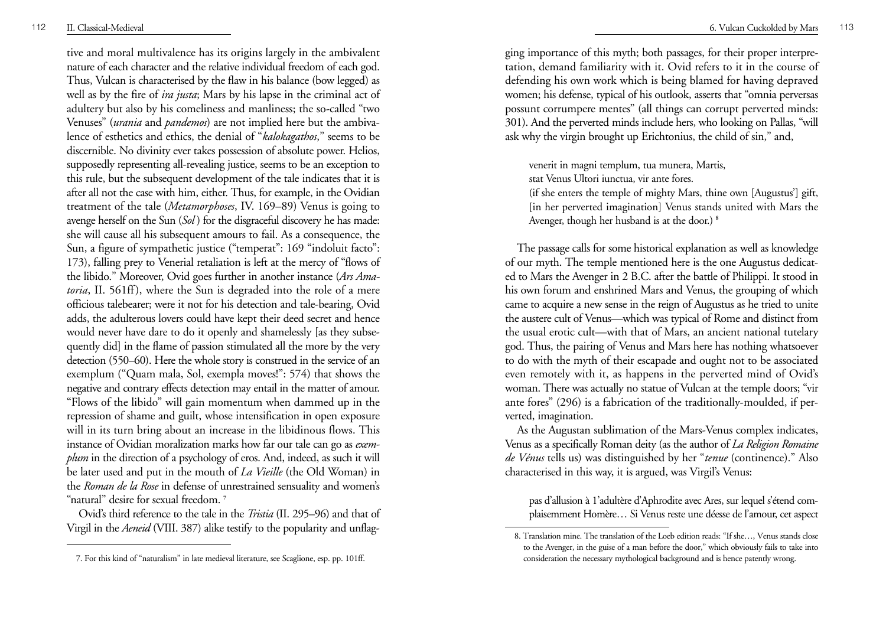tive and moral multivalence has its origins largely in the ambivalent nature of each character and the relative individual freedom of each god. Thus, Vulcan is characterised by the flaw in his balance (bow legged) as well as by the fire of *ira justa*; Mars by his lapse in the criminal act of adultery but also by his comeliness and manliness; the so-called "two Venuses" (*urania* and *pandemos*) are not implied here but the ambivalence of esthetics and ethics, the denial of "*kalokagathos*," seems to be discernible. No divinity ever takes possession of absolute power. Helios, supposedly representing all-revealing justice, seems to be an exception to this rule, but the subsequent development of the tale indicates that it is after all not the case with him, either. Thus, for example, in the Ovidian treatment of the tale (*Metamorphoses*, IV. 169–89) Venus is going to avenge herself on the Sun (*Sol* ) for the disgraceful discovery he has made: she will cause all his subsequent amours to fail. As a consequence, the Sun, a figure of sympathetic justice ("temperat": 169 "indoluit facto": 173), falling prey to Venerial retaliation is left at the mercy of "flows of the libido." Moreover, Ovid goes further in another instance (*Ars Amatoria*, II. 561ff), where the Sun is degraded into the role of a mere officious talebearer; were it not for his detection and tale-bearing, Ovid adds, the adulterous lovers could have kept their deed secret and hence would never have dare to do it openly and shamelessly [as they subsequently did] in the flame of passion stimulated all the more by the very detection (550–60). Here the whole story is construed in the service of an exemplum ("Quam mala, Sol, exempla moves!": 574) that shows the negative and contrary effects detection may entail in the matter of amour. "Flows of the libido" will gain momentum when dammed up in the repression of shame and guilt, whose intensification in open exposure will in its turn bring about an increase in the libidinous flows. This instance of Ovidian moralization marks how far our tale can go as *exemplum* in the direction of a psychology of eros. And, indeed, as such it will be later used and put in the mouth of *La Vieille* (the Old Woman) in the *Roman de la Rose* in defense of unrestrained sensuality and women's "natural" desire for sexual freedom. **<sup>7</sup>**

Ovid's third reference to the tale in the *Tristia* (II. 295–96) and that of Virgil in the *Aeneid* (VIII. 387) alike testify to the popularity and unflag-

<sup>112</sup> II. Classical-Medieval 6. Vulcan Cuckolded by Mars <sup>113</sup>

ging importance of this myth; both passages, for their proper interpretation, demand familiarity with it. Ovid refers to it in the course of defending his own work which is being blamed for having depraved women; his defense, typical of his outlook, asserts that "omnia perversas possunt corrumpere mentes" (all things can corrupt perverted minds: 301). And the perverted minds include hers, who looking on Pallas, "will ask why the virgin brought up Erichtonius, the child of sin," and,

venerit in magni templum, tua munera, Martis, stat Venus Ultori iunctua, vir ante fores.

(if she enters the temple of mighty Mars, thine own [Augustus'] gift, [in her perverted imagination] Venus stands united with Mars the Avenger, though her husband is at the door.) **<sup>8</sup>**

The passage calls for some historical explanation as well as knowledge of our myth. The temple mentioned here is the one Augustus dedicated to Mars the Avenger in 2 B.C. after the battle of Philippi. It stood in his own forum and enshrined Mars and Venus, the grouping of which came to acquire a new sense in the reign of Augustus as he tried to unite the austere cult of Venus—which was typical of Rome and distinct from the usual erotic cult—with that of Mars, an ancient national tutelary god. Thus, the pairing of Venus and Mars here has nothing whatsoever to do with the myth of their escapade and ought not to be associated even remotely with it, as happens in the perverted mind of Ovid's woman. There was actually no statue of Vulcan at the temple doors; "vir ante fores" (296) is a fabrication of the traditionally-moulded, if perverted, imagination.

As the Augustan sublimation of the Mars-Venus complex indicates, Venus as a specifically Roman deity (as the author of *La Religion Romaine de Vénus* tells us) was distinguished by her "*tenue* (continence)." Also characterised in this way, it is argued, was Virgil's Venus:

pas d'allusion à 1'adultère d'Aphrodite avec Ares, sur lequel s'étend complaisemment Homère… Si Venus reste une déesse de l'amour, cet aspect

<sup>8.</sup> Translation mine. The translation of the Loeb edition reads: "If she…, Venus stands close to the Avenger, in the guise of a man before the door," which obviously fails to take into 7. For this kind of "naturalism" in late medieval literature, see Scaglione, esp. pp. 101ff. consideration the necessary mythological background and is hence patently wrong.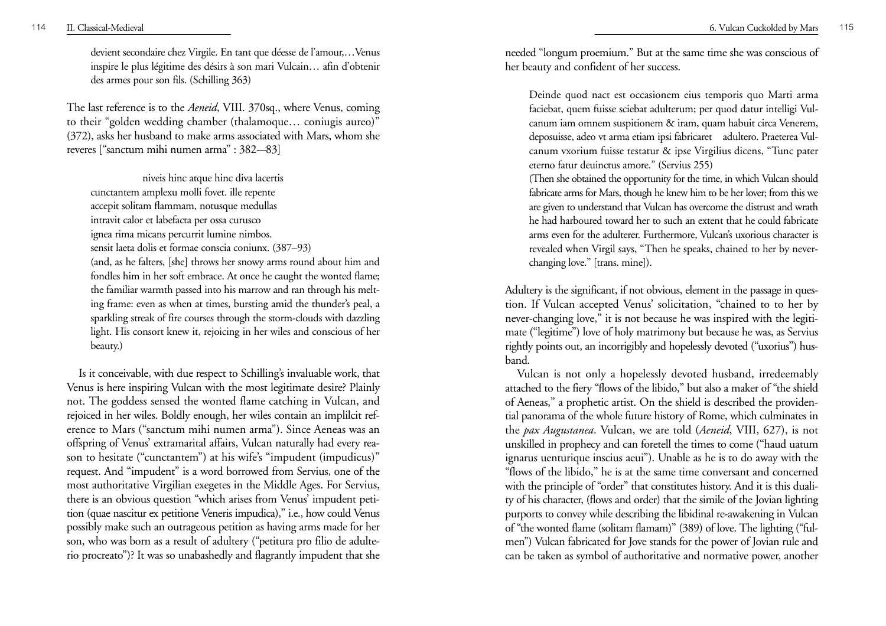devient secondaire chez Virgile. En tant que déesse de l'amour,…Venus inspire le plus légitime des désirs à son mari Vulcain… afin d'obtenir des armes pour son fils. (Schilling 363)

The last reference is to the *Aeneid*, VIII. 370sq., where Venus, coming to their "golden wedding chamber (thalamoque… coniugis aureo)" (372), asks her husband to make arms associated with Mars, whom she reveres ["sanctum mihi numen arma" : 382-–83]

niveis hinc atque hinc diva lacertis

cunctantem amplexu molli fovet. ille repente accepit solitam flammam, notusque medullas

intravit calor et labefacta per ossa curusco

ignea rima micans percurrit lumine nimbos.

sensit laeta dolis et formae conscia coniunx. (387–93)

(and, as he falters, [she] throws her snowy arms round about him and fondles him in her soft embrace. At once he caught the wonted flame; the familiar warmth passed into his marrow and ran through his melting frame: even as when at times, bursting amid the thunder's peal, a sparkling streak of fire courses through the storm-clouds with dazzling light. His consort knew it, rejoicing in her wiles and conscious of her beauty.)

Is it conceivable, with due respect to Schilling's invaluable work, that Venus is here inspiring Vulcan with the most legitimate desire? Plainly not. The goddess sensed the wonted flame catching in Vulcan, and rejoiced in her wiles. Boldly enough, her wiles contain an implilcit reference to Mars ("sanctum mihi numen arma"). Since Aeneas was an offspring of Venus' extramarital affairs, Vulcan naturally had every reason to hesitate ("cunctantem") at his wife's "impudent (impudicus)" request. And "impudent" is a word borrowed from Servius, one of the most authoritative Virgilian exegetes in the Middle Ages. For Servius, there is an obvious question "which arises from Venus' impudent petition (quae nascitur ex petitione Veneris impudica)," i.e., how could Venus possibly make such an outrageous petition as having arms made for her son, who was born as a result of adultery ("petitura pro filio de adulterio procreato")? It was so unabashedly and flagrantly impudent that she needed "longum proemium." But at the same time she was conscious of her beauty and confident of her success.

Deinde quod nact est occasionem eius temporis quo Marti arma faciebat, quem fuisse sciebat adulterum; per quod datur intelligi Vulcanum iam omnem suspitionem & iram, quam habuit circa Venerem, deposuisse, adeo vt arma etiam ipsi fabricaret adultero. Praeterea Vulcanum vxorium fuisse testatur & ipse Virgilius dicens, "Tunc pater eterno fatur deuinctus amore." (Servius 255)

(Then she obtained the opportunity for the time, in which Vulcan should fabricate arms for Mars, though he knew him to be her lover; from this we are given to understand that Vulcan has overcome the distrust and wrath he had harboured toward her to such an extent that he could fabricate arms even for the adulterer. Furthermore, Vulcan's uxorious character is re vealed when Virgil says, "Then he speaks, chained to her by neverchanging love." [trans. mine]).

Adultery is the significant, if not obvious, element in the passage in question. If Vulcan accepted Venus' solicitation, "chained to to her by never-changing love," it is not because he was inspired with the legitimate ("legitime") love of holy matrimony but because he was, as Servius rightly points out, an incorrigibly and hopelessly devoted ("uxorius") husband.

Vulcan is not only a hopelessly devoted husband, irredeemably attached to the fiery "flows of the libido," but also a maker of "the shield of Aeneas," a prophetic artist. On the shield is described the providential panorama of the whole future history of Rome, which culminates in the *pax Augustanea*. Vulcan, we are told (*Aeneid*, VIII, 627), is not unskilled in prophecy and can foretell the times to come ("haud uatum ignarus uenturique inscius aeui"). Unable as he is to do away with the "flows of the libido," he is at the same time conversant and concerned with the principle of "order" that constitutes history. And it is this duality of his character, (flows and order) that the simile of the Jovian lighting purports to convey while describing the libidinal re-awakening in Vulcan of "the wonted flame (solitam flamam)" (389) of love. The lighting ("fulmen") Vulcan fabricated for Jove stands for the power of Jovian rule and can be taken as symbol of authoritative and normative power, another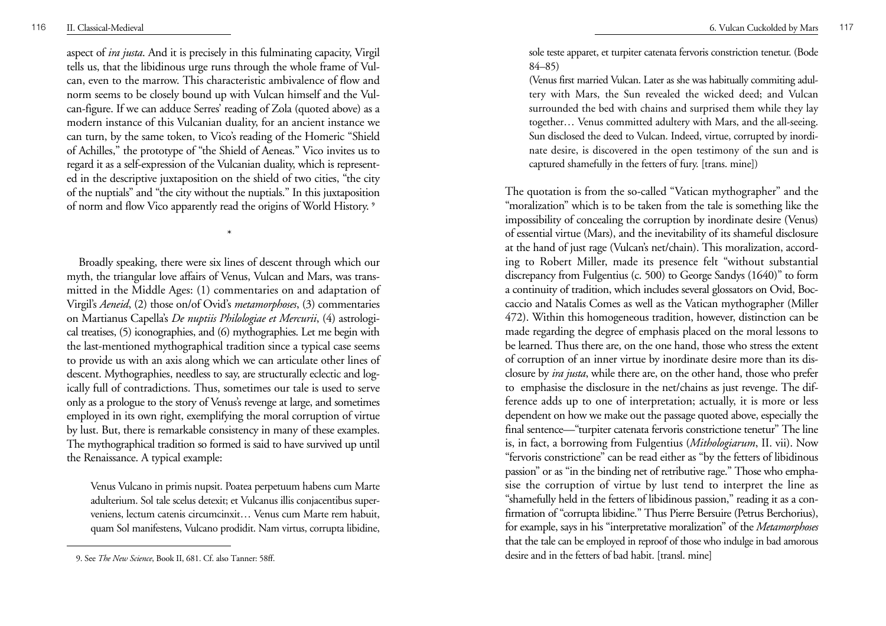aspect of *ira justa*. And it is precisely in this fulminating capacity, Virgil tells us, that the libidinous urge runs through the whole frame of Vulcan, even to the marrow. This characteristic ambivalence of flow and norm seems to be closely bound up with Vulcan himself and the Vulcan-figure. If we can adduce Serres' reading of Zola (quoted above) as a modern instance of this Vulcanian duality, for an ancient instance we can turn, by the same token, to Vico's reading of the Homeric "Shield of Achilles," the prototype of "the Shield of Aeneas." Vico invites us to regard it as a self-expression of the Vulcanian duality, which is represented in the descriptive juxtaposition on the shield of two cities, "the city of the nuptials" and "the city without the nuptials." In this juxtaposition of norm and flow Vico apparently read the origins of World History. **<sup>9</sup>**

\*

Broadly speaking, there were six lines of descent through which our myth, the triangular love affairs of Venus, Vulcan and Mars, was transmitted in the Middle Ages: (1) commentaries on and adaptation of Virgil's *Aeneid*, (2) those on/of Ovid's *metamorphoses*, (3) commentaries on Martianus Capella's *De nuptiis Philologiae et Mercurii*, (4) astrological treatises, (5) iconographies, and (6) mythographies. Let me begin with the last-mentioned mythographical tradition since a typical case seems to provide us with an axis along which we can articulate other lines of descent. Mythographies, needless to say, are structurally eclectic and logically full of contradictions. Thus, sometimes our tale is used to serve only as a prologue to the story of Venus's revenge at large, and sometimes employed in its own right, exemplifying the moral corruption of virtue by lust. But, there is remarkable consistency in many of these examples. The mythographical tradition so formed is said to have survived up until the Renaissance. A typical example:

Venus Vulcano in primis nupsit. Poatea perpetuum habens cum Marte adulterium. Sol tale scelus detexit; et Vulcanus illis conjacentibus superveniens, lectum catenis circumcinxit… Venus cum Marte rem habuit, quam Sol manifestens, Vulcano prodidit. Nam virtus, corrupta libidine,

sole teste apparet, et turpiter catenata fervoris constriction tenetur. (Bode 84–85)

(Venus first married Vulcan. Later as she was habitually commiting adultery with Mars, the Sun revealed the wicked deed; and Vulcan surrounded the bed with chains and surprised them while they lay together… Venus committed adultery with Mars, and the all-seeing. Sun disclosed the deed to Vulcan. Indeed, virtue, corrupted by inordinate desire, is discovered in the open testimony of the sun and is captured shamefully in the fetters of fury. [trans. mine])

The quotation is from the so-called "Vatican mythographer" and the "moralization" which is to be taken from the tale is something like the impossibility of concealing the corruption by inordinate desire (Venus) of essential virtue (Mars), and the inevitability of its shameful disclosure at the hand of just rage (Vulcan's net/chain). This moralization, according to Robert Miller, made its presence felt "without substantial discrepancy from Fulgentius (c. 500) to George Sandys (1640)" to form a continuity of tradition, which includes several glossators on Ovid, Boccaccio and Natalis Comes as well as the Vatican mythographer (Miller 472). Within this homogeneous tradition, however, distinction can be made regarding the degree of emphasis placed on the moral lessons to be learned. Thus there are, on the one hand, those who stress the extent of corruption of an inner virtue by inordinate desire more than its disclosure by *ira justa*, while there are, on the other hand, those who prefer to emphasise the disclosure in the net/chains as just revenge. The difference adds up to one of interpretation; actually, it is more or less dependent on how we make out the passage quoted above, especially the final sentence—"turpiter catenata fervoris constrictione tenetur" The line is, in fact, a borrowing from Fulgentius (*Mithologiarum*, II. vii). Now "fervoris constrictione" can be read either as "by the fetters of libidinous passion" or as "in the binding net of retributive rage." Those who emphasise the corruption of virtue by lust tend to interpret the line as "shamefully held in the fetters of libidinous passion," reading it as a confirmation of "corrupta libidine." Thus Pierre Bersuire (Petrus Berchorius), for example, says in his "interpretative moralization" of the *Metamorphoses* that the tale can be employed in reproof of those who indulge in bad amorous desire and in the fetters of bad habit. [transl. mine]

<sup>9.</sup> See *The New Science*, Book II, 681. Cf. also Tanner: 58ff.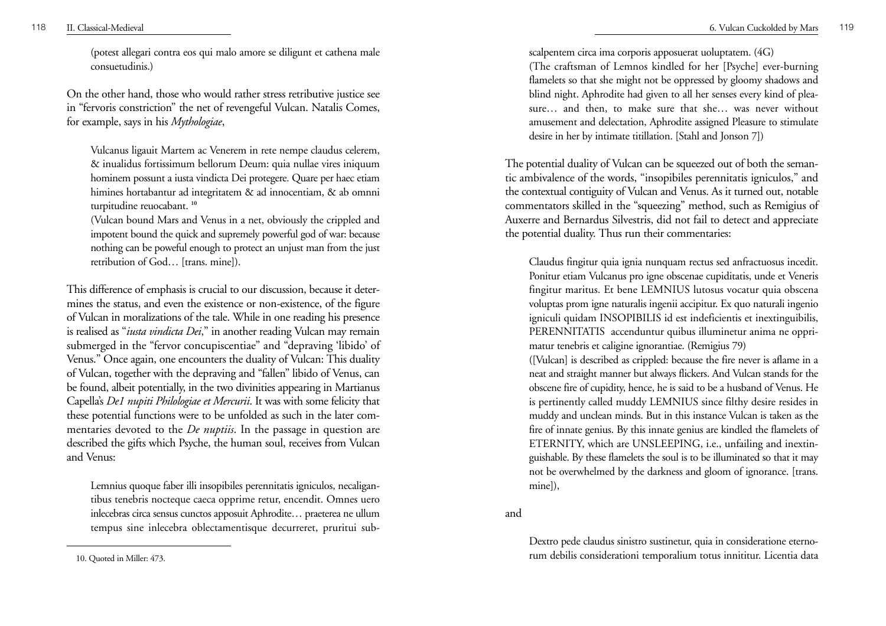(potest allegari contra eos qui malo amore se diligunt et cathena male consuetudinis.)

On the other hand, those who would rather stress retributive justice see in "fervoris constriction" the net of revengeful Vulcan. Natalis Comes, for example, says in his *Mythologiae*,

Vulcanus ligauit Martem ac Venerem in rete nempe claudus celerem, & inualidus fortissimum bellorum Deum: quia nullae vires iniquum hominem possunt a iusta vindicta Dei protegere. Quare per haec etiam himines hortabantur ad integritatem & ad innocentiam, & ab omnni turpitudine reuocabant. **<sup>10</sup>**

(Vulcan bound Mars and Venus in a net, obviously the crippled and impotent bound the quick and supremely powerful god of war: because nothing can be poweful enough to protect an unjust man from the just retribution of God… [trans. mine]).

This difference of emphasis is crucial to our discussion, because it determines the status, and even the existence or non-existence, of the figure of Vulcan in moralizations of the tale. While in one reading his presence is realised as "*iusta vindicta Dei*," in another reading Vulcan may remain submerged in the "fervor concupiscentiae" and "depraving 'libido' of Venus." Once again, one encounters the duality of Vulcan: This duality of Vulcan, together with the depraving and "fallen" libido of Venus, can be found, albeit potentially, in the two divinities appearing in Martianus Capella's *De1 nupiti Philologiae et Mercurii*. It was with some felicity that these potential functions were to be unfolded as such in the later commentaries devoted to the *De nuptiis*. In the passage in question are described the gifts which Psyche, the human soul, receives from Vulcan and Venus:

Lemnius quoque faber illi insopibiles perennitatis igniculos, necaligantibus tenebris nocteque caeca opprime retur, encendit. Omnes uero inlecebras circa sensus cunctos apposuit Aphrodite… praeterea ne ullum tempus sine inlecebra oblectamentisque decurreret, pruritui sub-

10. Quoted in Miller: 473.

scalpentem circa ima corporis apposuerat uoluptatem. (4G)

(The craftsman of Lemnos kindled for her [Psyche] ever-burning flamelets so that she might not be oppressed by gloomy shadows and blind night. Aphrodite had given to all her senses every kind of pleasure… and then, to make sure that she… was never without amusement and delectation, Aphrodite assigned Pleasure to stimulate desire in her by intimate titillation. [Stahl and Jonson 7])

The potential duality of Vulcan can be squeezed out of both the semantic ambivalence of the words, "insopibiles perennitatis igniculos," and the contextual contiguity of Vulcan and Venus. As it turned out, notable commentators skilled in the "squeezing" method, such as Remigius of Au xerre and Bernardus Silvestris, did not fail to detect and appreciate the potential duality. Thus run their commentaries:

Claudus fingitur quia ignia nunquam rectus sed anfractuosus incedit. Ponitur etiam Vulcanus pro igne obscenae cupiditatis, unde et Veneris fingitur maritus. Et bene LEMNIUS lutosus vocatur quia obscena voluptas prom igne naturalis ingenii accipitur. Ex quo naturali ingenio igniculi quidam INSOPIBILIS id est indeficientis et inextinguibilis, PERENNITATIS accenduntur quibus illuminetur anima ne opprimatur tenebris et caligine ignorantiae. (Remigius 79)

([Vulcan] is described as crippled: because the fire never is aflame in a neat and straight manner but always flickers. And Vulcan stands for the obscene fire of cupidity, hence, he is said to be a husband of Venus. He is pertinently called muddy LEMNIUS since filthy desire resides in muddy and unclean minds. But in this instance Vulcan is taken as the fire of innate genius. By this innate genius are kindled the flamelets of ETERNITY, which are UNSLEEPING, i.e., unfailing and inextinguishable. By these flamelets the soul is to be illuminated so that it may not be overwhelmed by the darkness and gloom of ignorance. [trans. mine]),

and

Dextro pede claudus sinistro sustinetur, quia in consideratione eternorum debilis considerationi temporalium totus innititur. Licentia data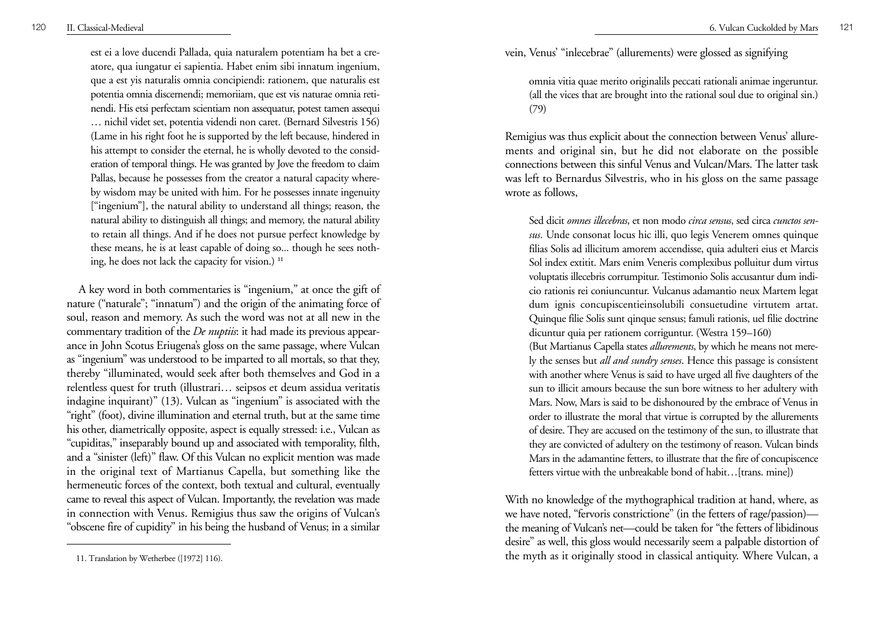est ei a love ducendi Pallada, quia naturalem potentiam ha bet a creatore, qua iungatur ei sapientia. Habet enim sibi innatum ingenium, que a est yis naturalis omnia concipiendi: rationem, que naturalis est potentia omnia discernendi; memoriiam, que est vis naturae omnia retinendi. His etsi perfectam scientiam non assequatur, potest tamen assequi … nichil videt set, potentia videndi non caret. (Bernard Silvestris 156) (Lame in his right foot he is supported by the left because, hindered in his attempt to consider the eternal, he is wholly devoted to the consideration of temporal things. He was granted by Jove the freedom to claim Pallas, because he possesses from the creator a natural capacity whereby wisdom may be united with him. For he possesses innate ingenuity ["ingenium"], the natural ability to understand all things; reason, the natural ability to distinguish all things; and memory, the natural ability to retain all things. And if he does not pursue perfect knowledge by these means, he is at least capable of doing so... though he sees nothing, he does not lack the capacity for vision.) **<sup>11</sup>**

A key word in both commentaries is "ingenium," at once the gift of nature ("naturale"; "innatum") and the origin of the animating force of soul, reason and memory. As such the word was not at all new in the commentary tradition of the *De nuptiis*: it had made its previous appearance in John Scotus Eriugena's gloss on the same passage, where Vulcan as "ingenium" was understood to be imparted to all mortals, so that they, thereby "illuminated, would seek after both themselves and God in a relentless quest for truth (illustrari… seipsos et deum assidua veritatis indagine inquirant)" (13). Vulcan as "ingenium" is associated with the "right" (foot), divine illumination and eternal truth, but at the same time his other, diametrically opposite, aspect is equally stressed: i.e., Vulcan as "cupiditas," inseparably bound up and associated with temporality, filth, and a "sinister (left)" flaw. Of this Vulcan no explicit mention was made in the original text of Martianus Capella, but something like the hermeneutic forces of the context, both textual and cultural, eventually came to reveal this aspect of Vulcan. Importantly, the revelation was made in connection with Venus. Remigius thus saw the origins of Vulcan's "obscene fire of cupidity" in his being the husband of Venus; in a similar

vein, Venus' "inlecebrae" (allurements) were glossed as signifying

omnia vitia quae merito originalils peccati rationali animae ingeruntur. (all the vices that are brought into the rational soul due to original sin.) (79)

Remigius was thus explicit about the connection between Venus' allurements and original sin, but he did not elaborate on the possible connections between this sinful Venus and Vulcan/Mars. The latter task was left to Bernardus Silvestris, who in his gloss on the same passage wrote as follows,

Sed dicit *omnes illecebras*, et non modo *circa sensus*, sed circa *cunctos sensus*. Unde consonat locus hic illi, quo legis Venerem omnes quinque filias Solis ad illicitum amorem accendisse, quia adulteri eius et Marcis Sol index extitit. Mars enim Veneris complexibus polluitur dum virtus voluptatis illecebris corrumpitur. Testimonio Solis accusantur dum indicio rationis rei coniuncuntur. Vulcanus adamantio neux Martem legat dum ignis concupiscentieinsolubili consuetudine virtutem artat. Quinque filie Solis sunt qinque sensus; famuli rationis, uel filie doctrine dicuntur quia per rationem corriguntur. (Westra 159–160) (But Martianus Capella states *allurements*, by which he means not merely the senses but *all and sundry senses*. Hence this passage is consistent with another where Venus is said to have urged all five daughters of the sun to illicit amours because the sun bore witness to her adultery with Mars. Now, Mars is said to be dishonoured by the embrace of Venus in order to illustrate the moral that virtue is corrupted by the allurements of desire. They are accused on the testimony of the sun, to illustrate that they are convicted of adultery on the testimony of reason. Vulcan binds Mars in the adamantine fetters, to illustrate that the fire of concupiscence fetters virtue with the unbreakable bond of habit…[trans. mine])

With no knowledge of the mythographical tradition at hand, where, as we have noted, "fervoris constrictione" (in the fetters of rage/passion) the meaning of Vulcan's net—could be taken for "the fetters of libidinous desire" as well, this gloss would necessarily seem a palpable distortion of the myth as it originally stood in classical antiquity. Where Vulcan, a

<sup>11.</sup> Translation by Wetherbee ([1972] 116).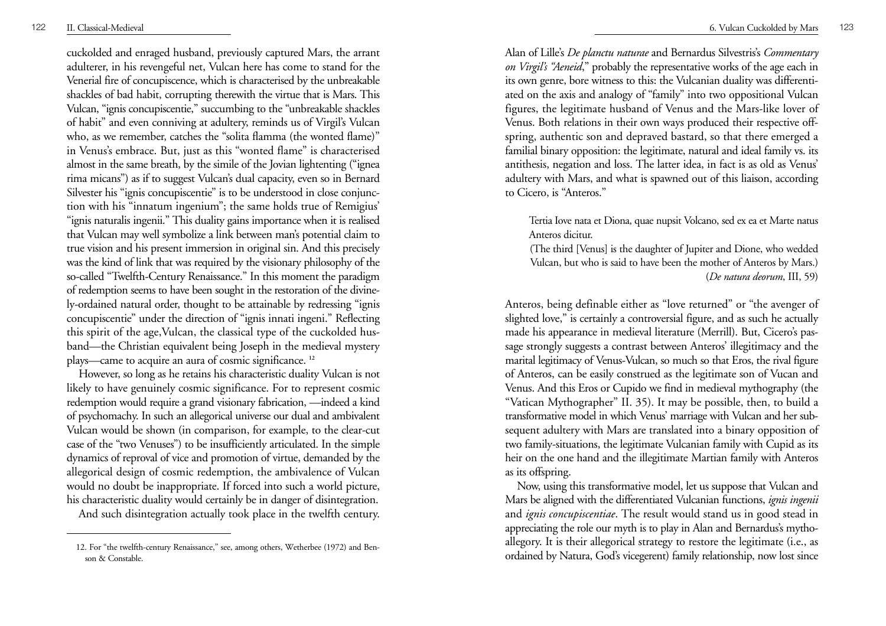cuckolded and enraged husband, previously captured Mars, the arrant adulterer, in his revengeful net, Vulcan here has come to stand for the Venerial fire of concupiscence, which is characterised by the unbreakable shackles of bad habit, corrupting therewith the virtue that is Mars. This Vulcan, "ignis concupiscentie," succumbing to the "unbreakable shackles of habit" and even conniving at adultery, reminds us of Virgil's Vulcan who, as we remember, catches the "solita flamma (the wonted flame)" in Venus's embrace. But, just as this "wonted flame" is characterised almost in the same breath, by the simile of the Jovian lightenting ("ignea rima micans") as if to suggest Vulcan's dual capacity, even so in Bernard Silvester his "ignis concupiscentie" is to be understood in close conjunction with his "innatum ingenium"; the same holds true of Remigius' "ignis naturalis ingenii." This duality gains importance when it is realised that Vulcan may well symbolize a link between man's potential claim to true vision and his present immersion in original sin. And this precisely was the kind of link that was required by the visionary philosophy of the so-called "Twelfth-Century Renaissance." In this moment the paradigm of redemption seems to have been sought in the restoration of the divinely-ordained natural order, thought to be attainable by redressing "ignis concupiscentie" under the direction of "ignis innati ingeni." Reflecting this spirit of the age,Vulcan, the classical type of the cuckolded husband—the Christian equivalent being Joseph in the medieval mystery <sup>p</sup>lays—came to acquire an aura of cosmic significance. **<sup>12</sup>**

However, so long as he retains his characteristic duality Vulcan is not likely to have genuinely cosmic significance. For to represent cosmic redemption would require a grand visionary fabrication, —indeed a kind of psychomachy. In such an allegorical universe our dual and ambivalent Vulcan would be shown (in comparison, for example, to the clear-cut case of the "two Venuses") to be insufficiently articulated. In the simple dynamics of reproval of vice and promotion of virtue, demanded by the allegorical design of cosmic redemption, the ambivalence of Vulcan would no doubt be inappropriate. If forced into such a world picture, his characteristic duality would certainly be in danger of disintegration.

And such disintegration actually took place in the twelfth century.

Alan of Lille's *De planctu naturae* and Bernardus Silvestris's *Commentary on Virgil's "Aeneid*," probably the representative works of the age each in its own genre, bore witness to this: the Vulcanian duality was differentiated on the axis and analogy of "family" into two oppositional Vulcan figures, the legitimate husband of Venus and the Mars-like lover of Venus. Both relations in their own ways produced their respective offspring, authentic son and depraved bastard, so that there emerged a familial binary opposition: the legitimate, natural and ideal family vs. its antithesis, negation and loss. The latter idea, in fact is as old as Venus' adultery with Mars, and what is spawned out of this liaison, according to Cicero, is "Anteros."

Tertia Iove nata et Diona, quae nupsit Volcano, sed ex ea et Marte natus Anteros dicitur.

(The third [Venus] is the daughter of Jupiter and Dione, who wedded Vulcan, but who is said to have been the mother of Anteros by Mars.) (*De natura deorum*, III, 59)

Anteros, being definable either as "love returned" or "the avenger of slighted love," is certainly a controversial figure, and as such he actually made his appearance in medieval literature (Merrill). But, Cicero's passage strongly suggests a contrast between Anteros' illegitimacy and the marital legitimacy of Venus-Vulcan, so much so that Eros, the rival figure of Anteros, can be easily construed as the legitimate son of Vucan and Venus. And this Eros or Cupido we find in medieval mythography (the "Vatican Mythographer" II. 35). It may be possible, then, to build a transformative model in which Venus' marriage with Vulcan and her subsequent adultery with Mars are translated into a binary opposition of two family-situations, the legitimate Vulcanian family with Cupid as its heir on the one hand and the illegitimate Martian family with Anteros as its offspring.

Now, using this transformative model, let us suppose that Vulcan and Mars be aligned with the differentiated Vulcanian functions, *ignis ingenii* and *ignis concupiscentiae*. The result would stand us in good stead in appreciating the role our myth is to play in Alan and Bernardus's mythoallegory. It is their allegorical strategy to restore the legitimate (i.e., as ordained by Natura, God's vicegerent) family relationship, now lost since

<sup>12.</sup> For "the twelfth-century Renaissance," see, among others, Wetherbee (1972) and Benson & Constable.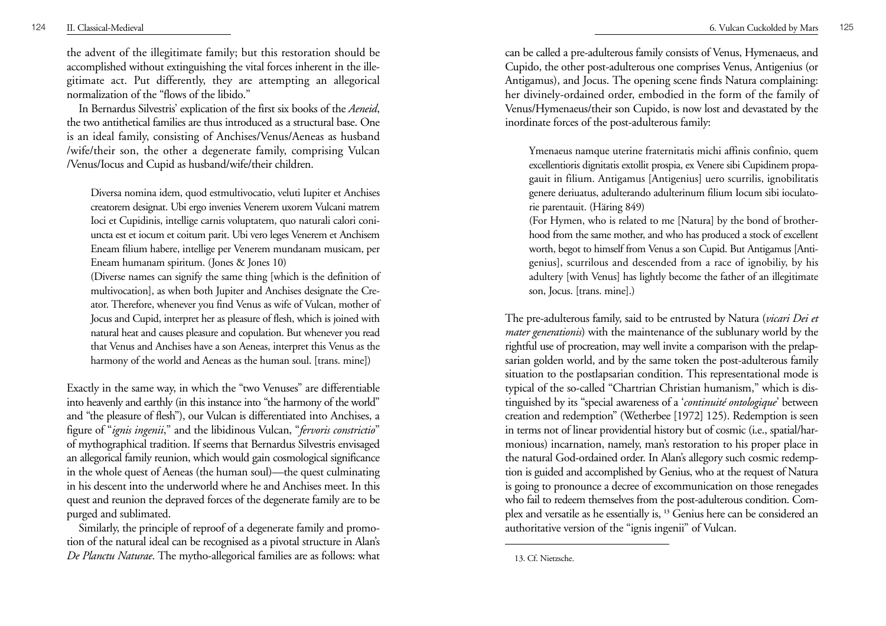the advent of the illegitimate family; but this restoration should be accomplished without extinguishing the vital forces inherent in the ille<sup>g</sup>itimate act. Put differently, they are attempting an allegorical normalization of the "flows of the libido."

In Bernardus Silvestris' explication of the first six books of the *Aeneid*, the two antithetical families are thus introduced as a structural base. One is an ideal family, consisting of Anchises/Venus/Aeneas as husband /wife/their son, the other a degenerate family, comprising Vulcan /Venus/Iocus and Cupid as husband/wife/their children.

Diversa nomina idem, quod estmultivocatio, veluti Iupiter et Anchises creatorem designat. Ubi ergo invenies Venerem uxorem Vulcani matrem Ioci et Cupidinis, intellige carnis voluptatem, quo naturali calori coniuncta est et iocum et coitum parit. Ubi vero leges Venerem et Anchisem Eneam filium habere, intellige per Venerem mundanam musicam, per Eneam humanam spiritum. (Jones & Jones 10)

(Diverse names can signify the same thing [which is the definition of multivocation], as when both Jupiter and Anchises designate the Creator. Therefore, whenever you find Venus as wife of Vulcan, mother of Jocus and Cupid, interpret her as pleasure of flesh, which is joined with natural heat and causes pleasure and copulation. But whenever you read that Venus and Anchises have a son Aeneas, interpret this Venus as the harmony of the world and Aeneas as the human soul. [trans. mine])

Exactly in the same way, in which the "two Venuses" are differentiable into heavenly and earthly (in this instance into "the harmony of the world" and "the pleasure of flesh"), our Vulcan is differentiated into Anchises, a figure of "*ignis ingenii*," and the libidinous Vulcan, "*fervoris constrictio*" of mythographical tradition. If seems that Bernardus Silvestris envisaged an allegorical family reunion, which would gain cosmological significance in the whole quest of Aeneas (the human soul)—the quest culminating in his descent into the underworld where he and Anchises meet. In this quest and reunion the depraved forces of the degenerate family are to be purged and sublimated.

Similarly, the principle of reproof of a degenerate family and promotion of the natural ideal can be recognised as a pivotal structure in Alan's *De Planctu Naturae*. The mytho-allegorical families are as follows: what

can be called a pre-adulterous family consists of Venus, Hymenaeus, and Cupido, the other post-adulterous one comprises Venus, Antigenius (or Antigamus), and Jocus. The opening scene finds Natura complaining: her divinely-ordained order, embodied in the form of the family of Venus/Hymenaeus/their son Cupido, is now lost and devastated by the inordinate forces of the post-adulterous family:

Ymenaeus namque uterine fraternitatis michi affinis confinio, quem excellentioris dignitatis extollit prospia, ex Venere sibi Cupidinem propagauit in filium. Antigamus [Antigenius] uero scurrilis, ignobilitatis genere deriuatus, adulterando adulterinum filium Iocum sibi ioculatorie parentauit. (Häring 849)

(For Hymen, who is related to me [Natura] by the bond of brotherhood from the same mother, and who has produced a stock of excellent worth, begot to himself from Venus a son Cupid. But Antigamus [Antigenius], scurrilous and descended from a race of ignobiliy, by his adultery [with Venus] has lightly become the father of an illegitimate son, Jocus. [trans. mine].)

The pre-adulterous family, said to be entrusted by Natura (*vicari Dei et mater generationis*) with the maintenance of the sublunary world by the rightful use of procreation, may well invite a comparison with the prelapsarian golden world, and by the same token the post-adulterous family situation to the postlapsarian condition. This representational mode is typical of the so-called "Chartrian Christian humanism," which is distinguished by its "special awareness of a '*continuité ontologique*' between creation and redemption" (Wetherbee [1972] 125). Redemption is seen in terms not of linear providential history but of cosmic (i.e., spatial/harmonious) incarnation, namely, man's restoration to his proper place in the natural God-ordained order. In Alan's allegory such cosmic redemption is guided and accomplished by Genius, who at the request of Natura is going to pronounce a decree of excommunication on those renegades who fail to redeem themselves from the post-adulterous condition. Complex and versatile as he essentially is, **<sup>13</sup>** Genius here can be considered an authoritative version of the "ignis ingenii" of Vulcan.

<sup>13.</sup> Cf. Nietzsche.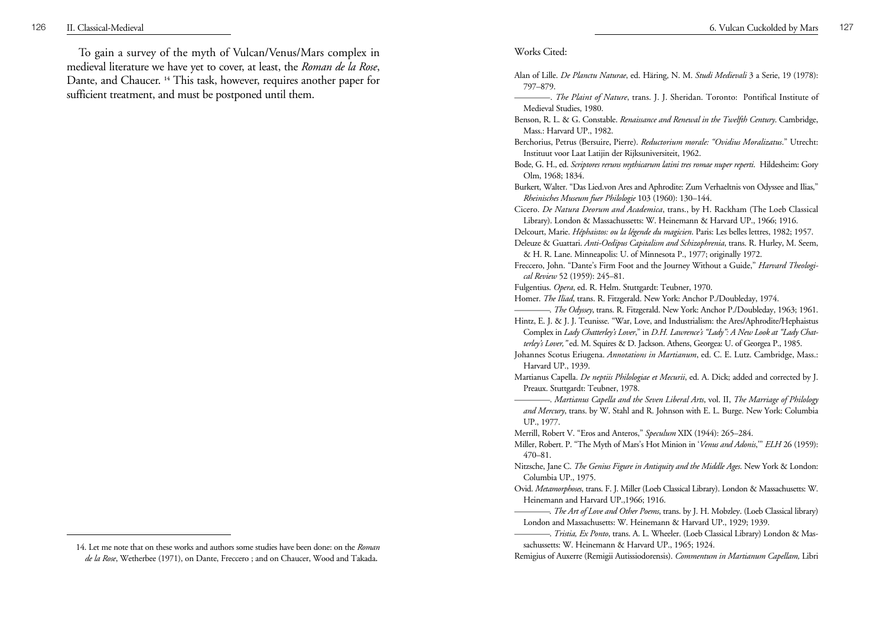To gain a survey of the myth of Vulcan/Venus/Mars complex in medieval literature we have yet to cover, at least, the *Roman de la Rose*, Dante, and Chaucer. **<sup>14</sup>** This task, however, requires another paper for sufficient treatment, and must be postponed until them.

## Works Cited:

| Alan of Lille. <i>De Planctu Naturae</i> , ed. Häring, N. M. <i>Studi Medievali</i> 3 a Serie, 19 (1978): |  |  |  |  |  |
|-----------------------------------------------------------------------------------------------------------|--|--|--|--|--|
| 797–879.                                                                                                  |  |  |  |  |  |

. *The Plaint of Nature*, trans. J. J. Sheridan. Toronto: Pontifical Institute of Medieval Studies, 1980.

Bode, G. H., ed. *Scriptores reruns mythicarum latini tres romae nuper reperti*. Hildesheim: Gory Olm, 1968; 1834.

Cicero. *De Natura Deorum and Academica*, trans., by H. Rackham (The Loeb Classical Library). London & Massachussetts: W. Heinemann & Harvard UP., 1966; 1916.

Delcourt, Marie. *Héphaistos: ou la légende du magicien*. Paris: Les belles lettres, 1982; 1957. Deleuze & Guattari. *Anti-Oedipus Capitalism and Schizophrenia*, trans. R. Hurley, M. Seem, & H. R. Lane. Minneapolis: U. of Minnesota P., 1977; originally 1972.

Freccero, John. "Dante's Firm Foot and the Journey Without a Guide," *Harvard Theological Review* 52 (1959): 245–81.

Fulgentius. *Opera*, ed. R. Helm. Stuttgardt: Teubner, 1970.

—. *The Odyssey*, trans. R. Fitzgerald. New York: Anchor P./Doubleday, 1963; 1961.

Hintz, E. J. & J. J. Teunisse. "War, Love, and Industrialism: the Ares/Aphrodite/Hephaistus Complex in *Lady Chatterley's Lover*," in *D.H. Lawrence's "Lady": A New Look at "Lady Chatterley's Lover,"* ed. M. Squires & D. Jackson. Athens, Georgea: U. of Georgea P., 1985.

Martianus Capella. *De neptiis Philologiae et Mecurii*, ed. A. Dick; added and corrected by J. Preaux. Stuttgardt: Teubner, 1978.

—. *Martianus Capella and the Seven Liberal Arts*, vol. II, *The Marriage of Philology and Mercury*, trans. by W. Stahl and R. Johnson with E. L. Burge. New York: Columbia UP., 1977.

Merrill, Robert V. "Eros and Anteros," *Speculum* XIX (1944): 265–284.

Miller, Robert. P. "The Myth of Mars's Hot Minion in '*Venus and Adonis*,'" *ELH* 26 (1959): 470–81.

Nitzsche, Jane C. *The Genius Figure in Antiquity and the Middle Ages*. New York & London: Columbia UP., 1975.

—. *The Art of Love and Other Poems*, trans. by J. H. Mobzley. (Loeb Classical library) London and Massachusetts: W. Heinemann & Harvard UP., 1929; 1939.

Benson, R. L. & G. Constable. *Renaissance and Renewal in the Twelfth Century*. Cambridge, Mass.: Harvard UP., 1982.

Berchorius, Petrus (Bersuire, Pierre). *Reductorium morale: "Ovidius Moralizatus*." Utrecht: Instituut voor Laat Latijin der Rijksuniversiteit, 1962.

Burkert, Walter. "Das Lied.von Ares and Aphrodite: Zum Verhaeltnis von Odyssee and Ilias," *Rheinisches Museum fuer Philologie* 103 (1960): 130–144.

Homer. *The Iliad*, trans. R. Fitzgerald. New York: Anchor P./Doubleday, 1974.

Johannes Scotus Eriugena. *Annotations in Martianum*, ed. C. E. Lutz. Cambridge, Mass.: Harvard UP., 1939.

Ovid. *Metamorphoses*, trans. F. J. Miller (Loeb Classical Library). London & Massachusetts: W. Heinemann and Harvard UP.,1966; 1916.

<sup>—</sup>. *Tristia, Ex Ponto*, trans. A. L. Wheeler. (Loeb Classical Library) London & Massachussetts: W. Heinemann & Harvard UP., 1965; 1924.

Remigius of Auxerre (Remigii Autissiodorensis). *Commentum in Martianum Capellam,* Libri

<sup>14.</sup> Let me note that on these works and authors some studies have been done: on the *Roman de la Rose*, Wetherbee (1971), on Dante, Freccero ; and on Chaucer, Wood and Takada**.**